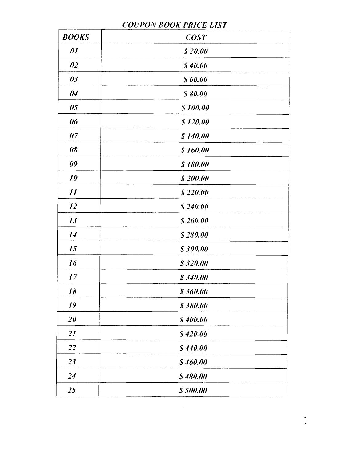#### **COUPON BOOK PRICE LIST**

| <b>BOOKS</b> | <b>COST</b> |  |
|--------------|-------------|--|
| $\theta I$   | \$20.00     |  |
| 02           | \$40.00     |  |
| 03           | \$60.00     |  |
| 04           | \$80.00     |  |
| 05           | \$100.00    |  |
| 06           | \$120.00    |  |
| 07           | \$140.00    |  |
| 08           | \$160.00    |  |
| 09           | \$180.00    |  |
| 10           | \$200.00    |  |
| II           | \$220.00    |  |
| <i>12</i>    | \$240.00    |  |
| 13           | \$260.00    |  |
| 14           | \$280.00    |  |
| 15           | \$300.00    |  |
| 16           | \$320.00    |  |
| 17           | \$340.00    |  |
| 18           | \$360.00    |  |
| 19           | \$380.00    |  |
| 20           | \$400.00    |  |
| 2I           | \$420.00    |  |
| 22           | \$440.00    |  |
| 23           | \$460.00    |  |
| 24           | \$480.00    |  |
| 25           | \$500.00    |  |

ż,